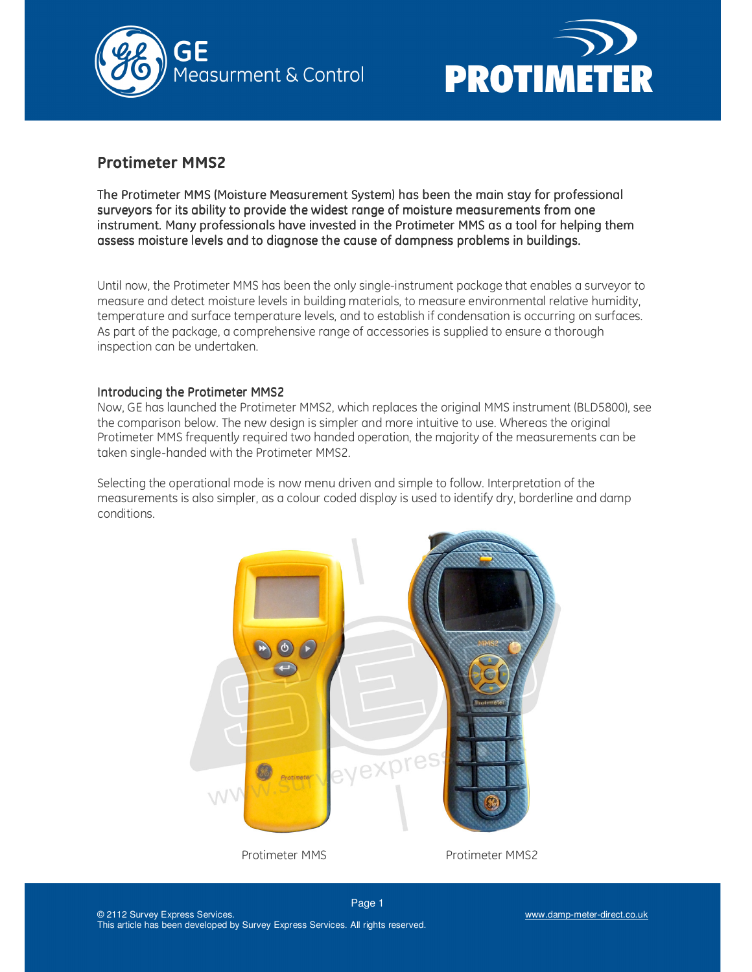



# **Protimeter MMS2**

The Protimeter MMS (Moisture Measurement System) has been the main stay for professional surveyors for its ability to provide the widest range of moisture measurements from one instrument. Many professionals have invested in the Protimeter MMS as a tool for helping them assess moisture levels and to diagnose the cause of dampness problems in buildings.

Until now, the Protimeter MMS has been the only single-instrument package that enables a surveyor to measure and detect moisture levels in building materials, to measure environmental relative humidity, temperature and surface temperature levels, and to establish if condensation is occurring on surfaces. As part of the package, a comprehensive range of accessories is supplied to ensure a thorough inspection can be undertaken.

# Introducing the Protimeter MMS2

Now, GE has launched the Protimeter MMS2, which replaces the original MMS instrument (BLD5800), see the comparison below. The new design is simpler and more intuitive to use. Whereas the original Protimeter MMS frequently required two handed operation, the majority of the measurements can be taken single-handed with the Protimeter MMS2.

Selecting the operational mode is now menu driven and simple to follow. Interpretation of the measurements is also simpler, as a colour coded display is used to identify dry, borderline and damp conditions.

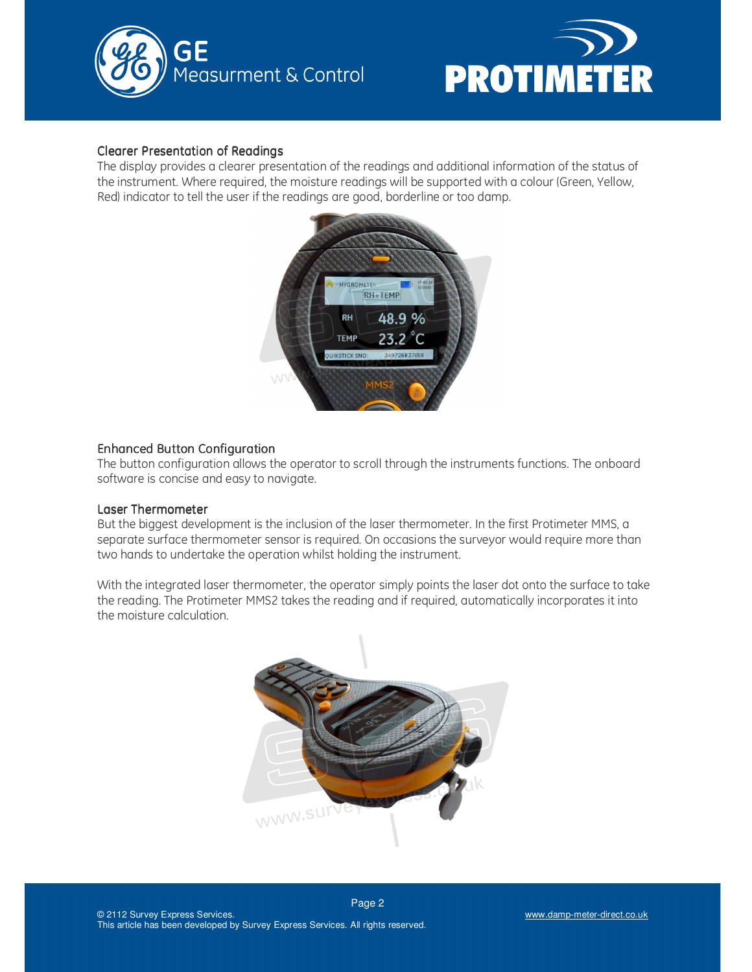



## Clearer Presentation of Readings

The display provides a clearer presentation of the readings and additional information of the status of the instrument. Where required, the moisture readings will be supported with a colour (Green, Yellow, Red) indicator to tell the user if the readings are good, borderline or too damp.



# Enhanced Button Configuration Enhanced Button Configuration

The button configuration allows the operator to scroll through the instruments functions. The onboard software is concise and easy to navigate.

#### Laser Thermometer

But the biggest development is the inclusion of the laser thermometer. In the first Protimeter MMS, a separate surface thermometer sensor is required. On occasions the surveyor would require more than two hands to undertake the operation whilst holding the instrument.

With the integrated laser thermometer, the operator simply points the laser dot onto the surface to take the reading. The Protimeter MMS2 takes the reading and if required, automatically incorporates it into the moisture calculation.

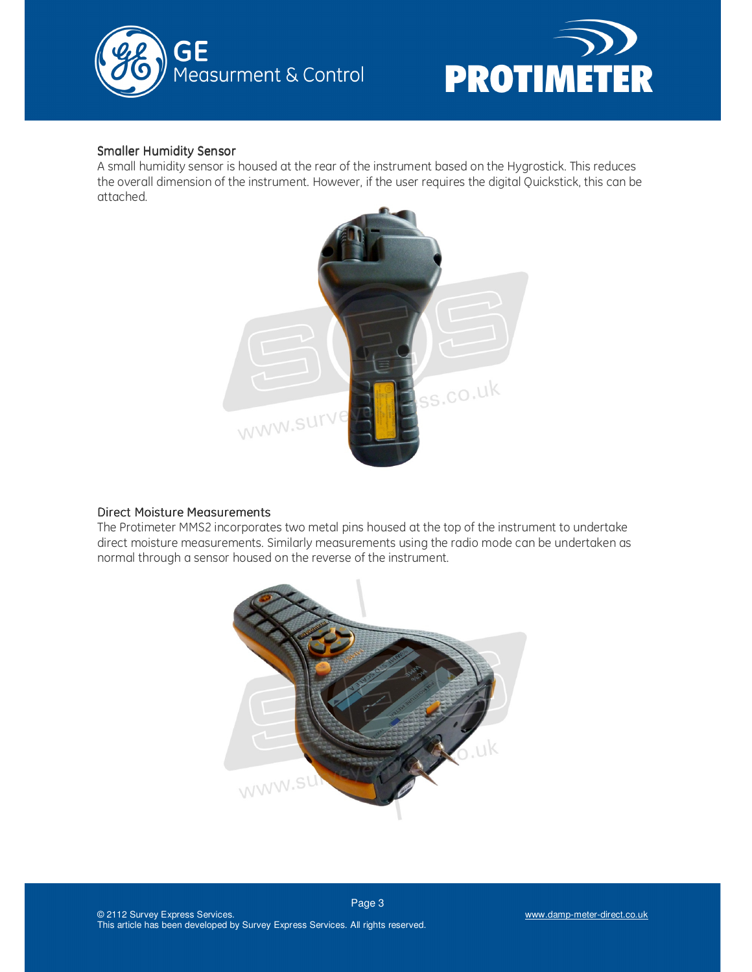



# **Smaller Humidity Sensor**

A small humidity sensor is housed at the rear of the instrument based on the Hygrostick. This reduces the overall dimension of the instrument. However, if the user requires the digital Quickstick, this can be attached.



# Direct Moisture Measurements

The Protimeter MMS2 incorporates two metal pins housed at the top of the instrument to undertake direct moisture measurements. Similarly measurements using the radio mode can be undertaken as normal through a sensor housed on the reverse of the instrument.